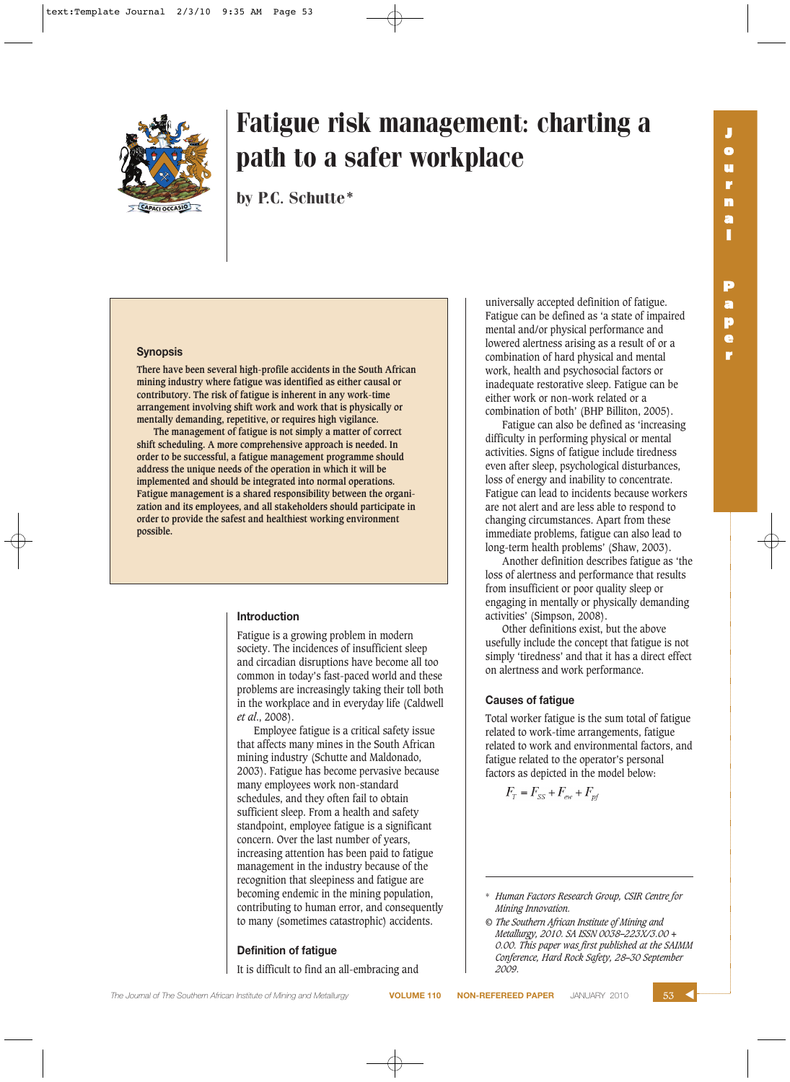

# Fatigue risk management: charting a path to a safer workplace

by P.C. Schutte\*

#### **Synopsis**

**There have been several high-profile accidents in the South African mining industry where fatigue was identified as either causal or contributory. The risk of fatigue is inherent in any work-time arrangement involving shift work and work that is physically or mentally demanding, repetitive, or requires high vigilance.**

**The management of fatigue is not simply a matter of correct shift scheduling. A more comprehensive approach is needed. In order to be successful, a fatigue management programme should address the unique needs of the operation in which it will be implemented and should be integrated into normal operations. Fatigue management is a shared responsibility between the organization and its employees, and all stakeholders should participate in order to provide the safest and healthiest working environment possible.**

#### **Introduction**

Fatigue is a growing problem in modern society. The incidences of insufficient sleep and circadian disruptions have become all too common in today's fast-paced world and these problems are increasingly taking their toll both in the workplace and in everyday life (Caldwell *et al*., 2008).

Employee fatigue is a critical safety issue that affects many mines in the South African mining industry (Schutte and Maldonado, 2003). Fatigue has become pervasive because many employees work non-standard schedules, and they often fail to obtain sufficient sleep. From a health and safety standpoint, employee fatigue is a significant concern. Over the last number of years, increasing attention has been paid to fatigue management in the industry because of the recognition that sleepiness and fatigue are becoming endemic in the mining population, contributing to human error, and consequently to many (sometimes catastrophic) accidents.

#### **Definition of fatigue**

It is difficult to find an all-embracing and

universally accepted definition of fatigue. Fatigue can be defined as 'a state of impaired mental and/or physical performance and lowered alertness arising as a result of or a combination of hard physical and mental work, health and psychosocial factors or inadequate restorative sleep. Fatigue can be either work or non-work related or a combination of both' (BHP Billiton, 2005).

Fatigue can also be defined as 'increasing difficulty in performing physical or mental activities. Signs of fatigue include tiredness even after sleep, psychological disturbances, loss of energy and inability to concentrate. Fatigue can lead to incidents because workers are not alert and are less able to respond to changing circumstances. Apart from these immediate problems, fatigue can also lead to long-term health problems' (Shaw, 2003).

Another definition describes fatigue as 'the loss of alertness and performance that results from insufficient or poor quality sleep or engaging in mentally or physically demanding activities' (Simpson, 2008).

Other definitions exist, but the above usefully include the concept that fatigue is not simply 'tiredness' and that it has a direct effect on alertness and work performance.

#### **Causes of fatigue**

Total worker fatigue is the sum total of fatigue related to work-time arrangements, fatigue related to work and environmental factors, and fatigue related to the operator's personal factors as depicted in the model below:

 $F_T = F_{SS} + F_{ew} + F_{pf}$ 

**r**

<sup>\*</sup> *Human Factors Research Group, CSIR Centre for Mining Innovation.*

*<sup>©</sup> The Southern African Institute of Mining and Metallurgy, 2010. SA ISSN 0038–223X/3.00 + 0.00. This paper was first published at the SAIMM Conference, Hard Rock Safety, 28–30 September 2009.*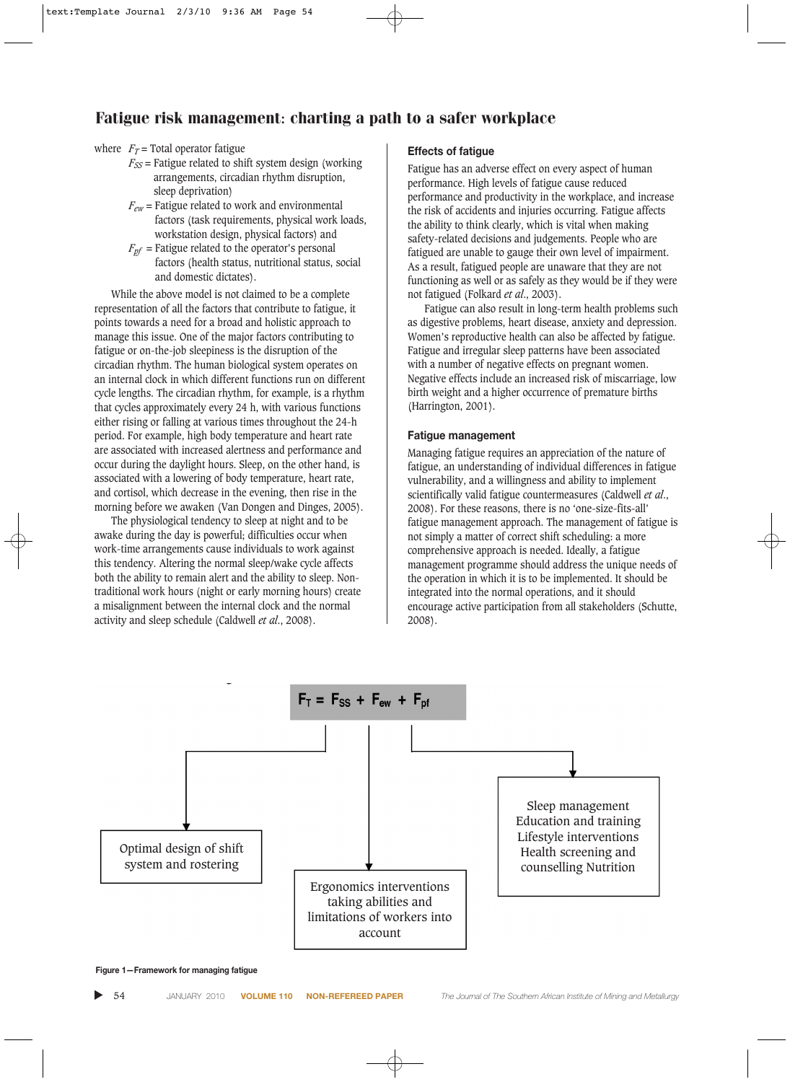## Fatigue risk management: charting a path to a safer workplace

#### where  $F_T$  = Total operator fatigue

- $F_{SS}$  = Fatigue related to shift system design (working arrangements, circadian rhythm disruption, sleep deprivation)
- *Few* = Fatigue related to work and environmental factors (task requirements, physical work loads, workstation design, physical factors) and
- $F_{\textit{pf}}$  = Fatigue related to the operator's personal factors (health status, nutritional status, social and domestic dictates).

While the above model is not claimed to be a complete representation of all the factors that contribute to fatigue, it points towards a need for a broad and holistic approach to manage this issue. One of the major factors contributing to fatigue or on-the-job sleepiness is the disruption of the circadian rhythm. The human biological system operates on an internal clock in which different functions run on different cycle lengths. The circadian rhythm, for example, is a rhythm that cycles approximately every 24 h, with various functions either rising or falling at various times throughout the 24-h period. For example, high body temperature and heart rate are associated with increased alertness and performance and occur during the daylight hours. Sleep, on the other hand, is associated with a lowering of body temperature, heart rate, and cortisol, which decrease in the evening, then rise in the morning before we awaken (Van Dongen and Dinges, 2005).

The physiological tendency to sleep at night and to be awake during the day is powerful; difficulties occur when work-time arrangements cause individuals to work against this tendency. Altering the normal sleep/wake cycle affects both the ability to remain alert and the ability to sleep. Nontraditional work hours (night or early morning hours) create a misalignment between the internal clock and the normal activity and sleep schedule (Caldwell *et al*., 2008).

#### **Effects of fatigue**

Fatigue has an adverse effect on every aspect of human performance. High levels of fatigue cause reduced performance and productivity in the workplace, and increase the risk of accidents and injuries occurring. Fatigue affects the ability to think clearly, which is vital when making safety-related decisions and judgements. People who are fatigued are unable to gauge their own level of impairment. As a result, fatigued people are unaware that they are not functioning as well or as safely as they would be if they were not fatigued (Folkard *et al*., 2003).

Fatigue can also result in long-term health problems such as digestive problems, heart disease, anxiety and depression. Women's reproductive health can also be affected by fatigue. Fatigue and irregular sleep patterns have been associated with a number of negative effects on pregnant women. Negative effects include an increased risk of miscarriage, low birth weight and a higher occurrence of premature births (Harrington, 2001).

#### **Fatigue management**

Managing fatigue requires an appreciation of the nature of fatigue, an understanding of individual differences in fatigue vulnerability, and a willingness and ability to implement scientifically valid fatigue countermeasures (Caldwell *et al*., 2008). For these reasons, there is no 'one-size-fits-all' fatigue management approach. The management of fatigue is not simply a matter of correct shift scheduling: a more comprehensive approach is needed. Ideally, a fatigue management programme should address the unique needs of the operation in which it is to be implemented. It should be integrated into the normal operations, and it should encourage active participation from all stakeholders (Schutte, 2008).



**Figure 1—Framework for managing fatigue**